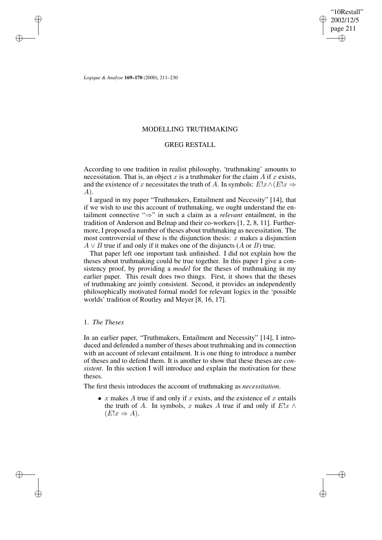"10Restall" 2002/12/5 page 211 ✐ ✐

✐

✐

*Logique & Analyse* **169–170** (2000), 211–230

✐

✐

✐

✐

# MODELLING TRUTHMAKING

# GREG RESTALL

According to one tradition in realist philosophy, 'truthmaking' amounts to necessitation. That is, an object x is a truthmaker for the claim  $A$  if x exists, and the existence of x necessitates the truth of A. In symbols:  $E!x \wedge (E!x \Rightarrow$ A).

I argued in my paper "Truthmakers, Entailment and Necessity" [14], that if we wish to use this account of truthmaking, we ought understand the entailment connective "⇒" in such a claim as a *relevant* entailment, in the tradition of Anderson and Belnap and their co-workers [1, 2, 8, 11]. Furthermore, I proposed a number of theses about truthmaking as necessitation. The most controversial of these is the disjunction thesis:  $x$  makes a disjunction  $A \vee B$  true if and only if it makes one of the disjuncts  $(A \text{ or } B)$  true.

That paper left one important task unfinished. I did not explain how the theses about truthmaking could be true together. In this paper I give a consistency proof, by providing a *model* for the theses of truthmaking in my earlier paper. This result does two things. First, it shows that the theses of truthmaking are jointly consistent. Second, it provides an independently philosophically motivated formal model for relevant logics in the 'possible worlds' tradition of Routley and Meyer [8, 16, 17].

## 1. *The Theses*

In an earlier paper, "Truthmakers, Entailment and Necessity" [14], I introduced and defended a number of theses about truthmaking and its connection with an account of relevant entailment. It is one thing to introduce a number of theses and to defend them. It is another to show that these theses are *consistent*. In this section I will introduce and explain the motivation for these theses.

The first thesis introduces the account of truthmaking as *necessitation*.

• x makes A true if and only if x exists, and the existence of x entails the truth of A. In symbols, x makes A true if and only if  $E!x \wedge y$  $(E!x \Rightarrow A).$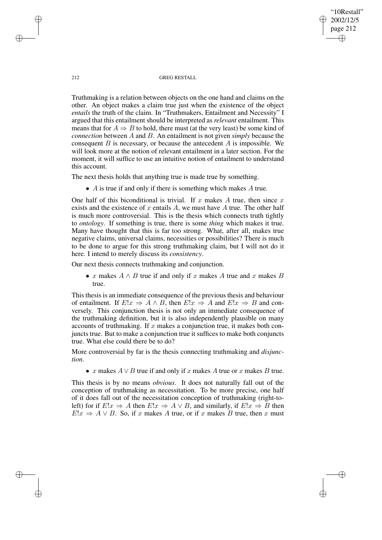2002/12/5 page 212 ✐ ✐

✐

✐

"10Restall"

212 GREG RESTALL

Truthmaking is a relation between objects on the one hand and claims on the other. An object makes a claim true just when the existence of the object *entails* the truth of the claim. In "Truthmakers, Entailment and Necessity" I argued that this entailment should be interpreted as *relevant* entailment. This means that for  $A \Rightarrow B$  to hold, there must (at the very least) be some kind of *connection* between A and B. An entailment is not given *simply* because the consequent  $B$  is necessary, or because the antecedent  $A$  is impossible. We will look more at the notion of relevant entailment in a later section. For the moment, it will suffice to use an intuitive notion of entailment to understand this account.

The next thesis holds that anything true is made true by something.

•  $\overline{A}$  is true if and only if there is something which makes  $\overline{A}$  true.

One half of this biconditional is trivial. If x makes A true, then since x exists and the existence of x entails A, we must have A true. The other half is much more controversial. This is the thesis which connects truth tightly to *ontology*. If something is true, there is some *thing* which makes it true. Many have thought that this is far too strong. What, after all, makes true negative claims, universal claims, necessities or possibilities? There is much to be done to argue for this strong truthmaking claim, but I will not do it here. I intend to merely discuss its *consistency*.

Our next thesis connects truthmaking and conjunction.

• x makes  $A \wedge B$  true if and only if x makes A true and x makes B true.

This thesis is an immediate consequence of the previous thesis and behaviour of entailment. If  $E!x \Rightarrow A \wedge B$ , then  $E!x \Rightarrow A$  and  $E!x \Rightarrow B$  and conversely. This conjunction thesis is not only an immediate consequence of the truthmaking definition, but it is also independently plausible on many accounts of truthmaking. If  $x$  makes a conjunction true, it makes both conjuncts true. But to make a conjunction true it suffices to make both conjuncts true. What else could there be to do?

More controversial by far is the thesis connecting truthmaking and *disjunction*.

• x makes  $A \vee B$  true if and only if x makes A true or x makes B true.

This thesis is by no means *obvious*. It does not naturally fall out of the conception of truthmaking as necessitation. To be more precise, one half of it does fall out of the necessitation conception of truthmaking (right-toleft) for if  $E!x \Rightarrow A$  then  $E!x \Rightarrow A \vee B$ , and similarly, if  $E!x \Rightarrow B$  then  $E!x \Rightarrow A \vee B$ . So, if x makes A true, or if x makes B true, then x must

✐

✐

✐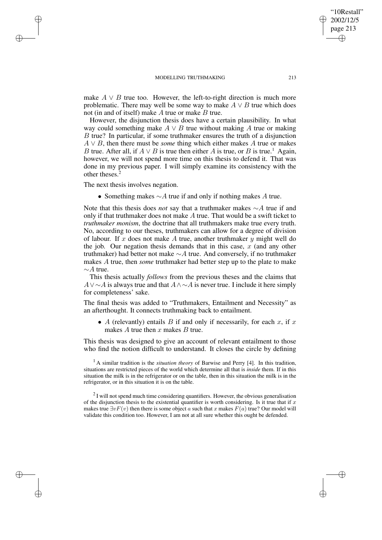make  $A \vee B$  true too. However, the left-to-right direction is much more problematic. There may well be some way to make  $A \vee B$  true which does not (in and of itself) make A true or make B true.

However, the disjunction thesis does have a certain plausibility. In what way could something make  $A \vee B$  true without making A true or making B true? In particular, if some truthmaker ensures the truth of a disjunction A ∨ B, then there must be *some* thing which either makes A true or makes B true. After all, if  $A \vee B$  is true then either A is true, or B is true.<sup>1</sup> Again, however, we will not spend more time on this thesis to defend it. That was done in my previous paper. I will simply examine its consistency with the other theses.<sup>2</sup>

The next thesis involves negation.

✐

✐

✐

✐

• Something makes  $\sim$  A true if and only if nothing makes A true.

Note that this thesis does *not* say that a truthmaker makes ∼A true if and only if that truthmaker does not make A true. That would be a swift ticket to *truthmaker monism*, the doctrine that all truthmakers make true every truth. No, according to our theses, truthmakers can allow for a degree of division of labour. If  $x$  does not make  $A$  true, another truthmaker  $y$  might well do the job. Our negation thesis demands that in this case,  $x$  (and any other truthmaker) had better not make  $\sim$ A true. And conversely, if no truthmaker makes A true, then *some* truthmaker had better step up to the plate to make  $∼A$  true.

This thesis actually *follows* from the previous theses and the claims that  $A \vee \sim A$  is always true and that  $A \wedge \sim A$  is never true. I include it here simply for completeness' sake.

The final thesis was added to "Truthmakers, Entailment and Necessity" as an afterthought. It connects truthmaking back to entailment.

• A (relevantly) entails B if and only if necessarily, for each x, if x makes A true then  $x$  makes  $B$  true.

This thesis was designed to give an account of relevant entailment to those who find the notion difficult to understand. It closes the circle by defining

<sup>1</sup> A similar tradition is the *situation theory* of Barwise and Perry [4]. In this tradition, situations are restricted pieces of the world which determine all that is *inside* them. If in this situation the milk is in the refrigerator or on the table, then in this situation the milk is in the refrigerator, or in this situation it is on the table.

 $2$ I will not spend much time considering quantifiers. However, the obvious generalisation of the disjunction thesis to the existential quantifier is worth considering. Is it true that if  $x$ makes true  $∃vF(v)$  then there is some object a such that x makes  $F(a)$  true? Our model will validate this condition too. However, I am not at all sure whether this ought be defended.

"10Restall" 2002/12/5 page 213

✐

✐

✐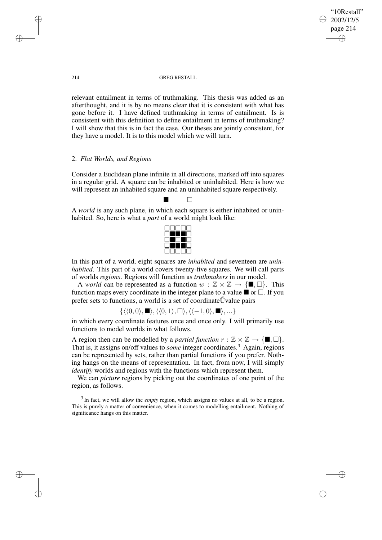## "10Restall" 2002/12/5 page 214 ✐ ✐

✐

✐

### 214 GREG RESTALL

relevant entailment in terms of truthmaking. This thesis was added as an afterthought, and it is by no means clear that it is consistent with what has gone before it. I have defined truthmaking in terms of entailment. Is is consistent with this definition to define entailment in terms of truthmaking? I will show that this is in fact the case. Our theses are jointly consistent, for they have a model. It is to this model which we will turn.

# 2. *Flat Worlds, and Regions*

Consider a Euclidean plane infinite in all directions, marked off into squares in a regular grid. A square can be inhabited or uninhabited. Here is how we will represent an inhabited square and an uninhabited square respectively.

П

A *world* is any such plane, in which each square is either inhabited or uninhabited. So, here is what a *part* of a world might look like:

| ш | m<br>۰        |
|---|---------------|
| ٠ | ۰<br>÷,       |
|   | ها<br>۰<br>m. |
|   |               |

In this part of a world, eight squares are *inhabited* and seventeen are *uninhabited*. This part of a world covers twenty-five squares. We will call parts of worlds *regions*. Regions will function as *truthmakers* in our model.

A *world* can be represented as a function  $w : \mathbb{Z} \times \mathbb{Z} \to \{\blacksquare, \square\}$ . This function maps every coordinate in the integer plane to a value  $\blacksquare$  or  $\Box$ . If you prefer sets to functions, a world is a set of coordinate  $\tilde{U}$ value pairs

$$
\{\langle\langle 0,0\rangle,\blacksquare\rangle,\langle\langle 0,1\rangle,\square\rangle,\langle\langle -1,0\rangle,\blacksquare\rangle,...\}
$$

in which every coordinate features once and once only. I will primarily use functions to model worlds in what follows.

A region then can be modelled by a *partial function*  $r : \mathbb{Z} \times \mathbb{Z} \to \{\blacksquare, \square\}.$ That is, it assigns on/off values to *some* integer coordinates.<sup>3</sup> Again, regions can be represented by sets, rather than partial functions if you prefer. Nothing hangs on the means of representation. In fact, from now, I will simply *identify* worlds and regions with the functions which represent them.

We can *picture* regions by picking out the coordinates of one point of the region, as follows.

3 In fact, we will allow the *empty* region, which assigns no values at all, to be a region. This is purely a matter of convenience, when it comes to modelling entailment. Nothing of significance hangs on this matter.

✐

✐

✐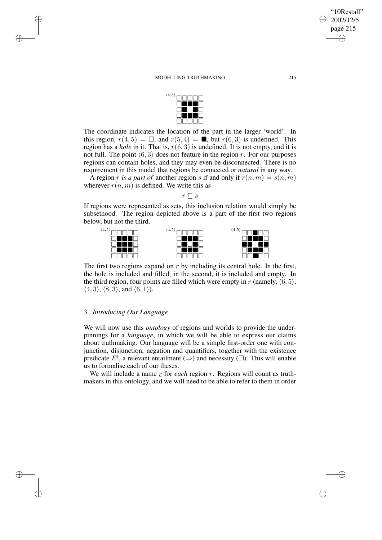

The coordinate indicates the location of the part in the larger 'world'. In this region,  $r(4, 5) = \Box$ , and  $r(5, 4) = \blacksquare$ , but  $r(6, 3)$  is undefined. This region has a *hole* in it. That is,  $r(6, 3)$  is undefined. It is not empty, and it is not full. The point  $(6, 3)$  does not feature in the region r. For our purposes regions can contain holes, and they may even be disconnected. There is no requirement in this model that regions be connected or *natural* in any way.

A region r is a part of another region s if and only if  $r(n, m) = s(n, m)$ wherever  $r(n, m)$  is defined. We write this as

 $r \sqsubseteq s$ 

If regions were represented as sets, this inclusion relation would simply be subsethood. The region depicted above is a part of the first two regions below, but not the third.



The first two regions expand on  $r$  by including its central hole. In the first, the hole is included and filled, in the second, it is included and empty. In the third region, four points are filled which were empty in r (namely,  $\langle 6, 5 \rangle$ ,  $\langle 4, 3 \rangle$ ,  $\langle 8, 3 \rangle$ , and  $\langle 6, 1 \rangle$ ).

## 3. *Introducing Our Language*

✐

✐

✐

✐

We will now use this *ontology* of regions and worlds to provide the underpinnings for a *language*, in which we will be able to express our claims about truthmaking. Our language will be a simple first-order one with conjunction, disjunction, negation and quantifiers, together with the existence predicate E!, a relevant entailment  $(\Rightarrow)$  and necessity  $(\Box)$ . This will enable us to formalise each of our theses.

We will include a name  $r$  for *each* region  $r$ . Regions will count as truthmakers in this ontology, and we will need to be able to refer to them in order

"10Restall" 2002/12/5 page 215

✐

✐

✐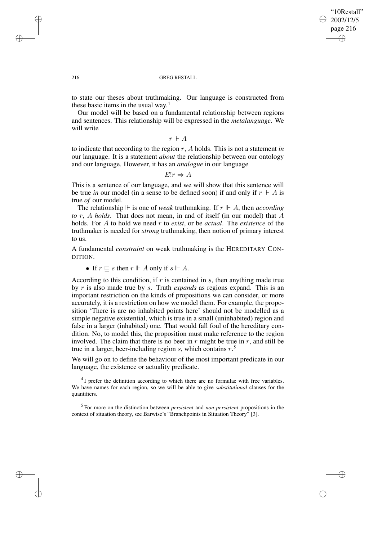✐

✐

### 216 GREG RESTALL

to state our theses about truthmaking. Our language is constructed from these basic items in the usual way. 4

Our model will be based on a fundamental relationship between regions and sentences. This relationship will be expressed in the *metalanguage*. We will write

 $r \Vdash A$ 

to indicate that according to the region r, A holds. This is not a statement *in* our language. It is a statement *about* the relationship between our ontology and our language. However, it has an *analogue* in our language

 $E!r \Rightarrow A$ 

This is a sentence of our language, and we will show that this sentence will be true *in* our model (in a sense to be defined soon) if and only if  $r \Vdash A$  is true *of* our model.

The relationship  $\Vdash$  is one of *weak* truthmaking. If  $r \Vdash A$ , then *according to* r, A *holds*. That does not mean, in and of itself (in our model) that A holds. For A to hold we need r to *exist*, or be *actual*. The *existence* of the truthmaker is needed for *strong* truthmaking, then notion of primary interest to us.

A fundamental *constraint* on weak truthmaking is the HEREDITARY CON-DITION.

• If  $r \sqsubseteq s$  then  $r \Vdash A$  only if  $s \Vdash A$ .

According to this condition, if  $r$  is contained in  $s$ , then anything made true by r is also made true by s. Truth *expands* as regions expand. This is an important restriction on the kinds of propositions we can consider, or more accurately, it is a restriction on how we model them. For example, the proposition 'There is are no inhabited points here' should not be modelled as a simple negative existential, which is true in a small (uninhabited) region and false in a larger (inhabited) one. That would fall foul of the hereditary condition. No, to model this, the proposition must make reference to the region involved. The claim that there is no beer in  $r$  might be true in  $r$ , and still be true in a larger, beer-including region  $s$ , which contains  $r<sup>5</sup>$ .

We will go on to define the behaviour of the most important predicate in our language, the existence or actuality predicate.

 $4$ I prefer the definition according to which there are no formulae with free variables. We have names for each region, so we will be able to give *substitutional* clauses for the quantifiers.

5 For more on the distinction between *persistent* and *non-persistent* propositions in the context of situation theory, see Barwise's "Branchpoints in Situation Theory" [3].

✐

✐

✐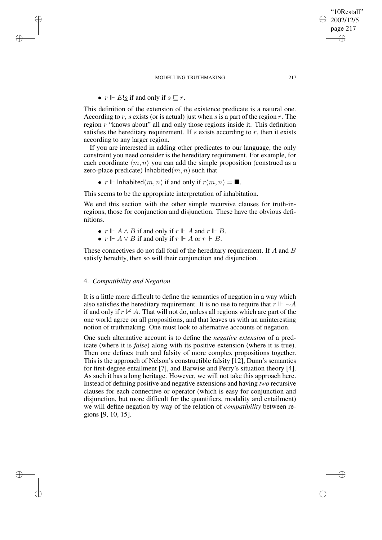•  $r \Vdash E!s$  if and only if  $s \sqsubset r$ .

✐

✐

✐

✐

This definition of the extension of the existence predicate is a natural one. According to r, s exists (or is actual) just when s is a part of the region r. The region r "knows about" all and only those regions inside it. This definition satisfies the hereditary requirement. If  $s$  exists according to  $r$ , then it exists according to any larger region.

If you are interested in adding other predicates to our language, the only constraint you need consider is the hereditary requirement. For example, for each coordinate  $\langle m, n \rangle$  you can add the simple proposition (construed as a zero-place predicate) Inhabited $(m, n)$  such that

•  $r \Vdash$  Inhabited $(m, n)$  if and only if  $r(m, n) = \blacksquare$ .

This seems to be the appropriate interpretation of inhabitation.

We end this section with the other simple recursive clauses for truth-inregions, those for conjunction and disjunction. These have the obvious definitions.

- $r \Vdash A \land B$  if and only if  $r \Vdash A$  and  $r \Vdash B$ .
- $r \Vdash A \lor B$  if and only if  $r \Vdash A$  or  $r \Vdash B$ .

These connectives do not fall foul of the hereditary requirement. If A and B satisfy heredity, then so will their conjunction and disjunction.

# 4. *Compatibility and Negation*

It is a little more difficult to define the semantics of negation in a way which also satisfies the hereditary requirement. It is no use to require that  $r \Vdash \sim A$ if and only if  $r \nVdash A$ . That will not do, unless all regions which are part of the one world agree on all propositions, and that leaves us with an uninteresting notion of truthmaking. One must look to alternative accounts of negation.

One such alternative account is to define the *negative extension* of a predicate (where it is *false*) along with its positive extension (where it is true). Then one defines truth and falsity of more complex propositions together. This is the approach of Nelson's constructible falsity [12], Dunn's semantics for first-degree entailment [7], and Barwise and Perry's situation theory [4]. As such it has a long heritage. However, we will not take this approach here. Instead of defining positive and negative extensions and having *two* recursive clauses for each connective or operator (which is easy for conjunction and disjunction, but more difficult for the quantifiers, modality and entailment) we will define negation by way of the relation of *compatibility* between regions [9, 10, 15].

"10Restall" 2002/12/5 page 217

✐

✐

✐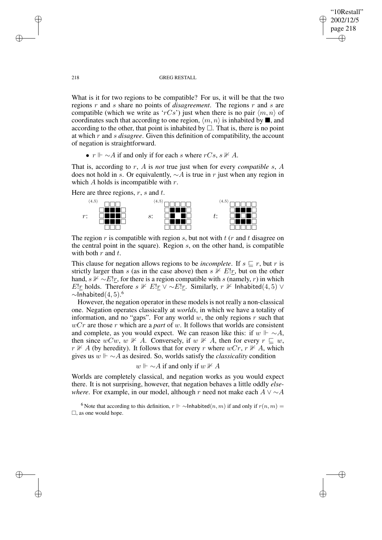"10Restall" 2002/12/5 page 218 ✐ ✐

✐

✐

218 GREG RESTALL

What is it for two regions to be compatible? For us, it will be that the two regions r and s share no points of *disagreement*. The regions r and s are compatible (which we write as 'rCs') just when there is no pair  $\langle m, n \rangle$  of coordinates such that according to one region,  $\langle m, n \rangle$  is inhabited by  $\blacksquare$ , and according to the other, that point is inhabited by  $\Box$ . That is, there is no point at which r and s *disagree*. Given this definition of compatibility, the account of negation is straightforward.

•  $r \Vdash \sim A$  if and only if for each s where  $rCs$ ,  $s \nvDash A$ .

That is, according to r, A is *not* true just when for every *compatible* s, A does not hold in s. Or equivalently,  $\sim$  A is true in r just when any region in which  $A$  holds is incompatible with  $r$ .

Here are three regions,  $r$ ,  $s$  and  $t$ .



The region  $r$  is compatible with region  $s$ , but not with  $t$  ( $r$  and  $t$  disagree on the central point in the square). Region  $s$ , on the other hand, is compatible with both  $r$  and  $t$ .

This clause for negation allows regions to be *incomplete*. If  $s \sqsubseteq r$ , but r is strictly larger than s (as in the case above) then  $s \not\perp E!r$ , but on the other hand,  $s \nvDash \sim E!_{r}$ , for there is a region compatible with s (namely, r) in which E!r holds. Therefore s  $\mathbb{1}$  E!r  $\vee \sim E!$  Similarly, r  $\mathbb{1}$  Inhabited(4,5)  $\vee$  $\sim$ Inhabited $(4,5)$ .<sup>6</sup>

However, the negation operator in these modelsis not really a non-classical one. Negation operates classically at *worlds*, in which we have a totality of information, and no "gaps". For any world  $w$ , the only regions  $r$  such that wCr are those r which are a *part* of w. It follows that worlds are consistent and complete, as you would expect. We can reason like this: if  $w \Vdash \sim A$ , then since  $wCw$ ,  $w \nVdash A$ . Conversely, if  $w \nVdash A$ , then for every  $r \sqsubseteq w$ ,  $r \nVdash A$  (by heredity). It follows that for every r where  $wCr$ ,  $r \nVdash A$ , which gives us  $w \Vdash \neg A$  as desired. So, worlds satisfy the *classicality* condition

$$
w\Vdash\sim\!\! A\text{ if and only if }w\nVdash A
$$

Worlds are completely classical, and negation works as you would expect there. It is not surprising, however, that negation behaves a little oddly *elsewhere*. For example, in our model, although r need not make each  $A \vee \sim A$ 

✐

✐

✐

<sup>&</sup>lt;sup>6</sup> Note that according to this definition,  $r \Vdash \sim$ Inhabited $(n, m)$  if and only if  $r(n, m) =$  $\Box$ , as one would hope.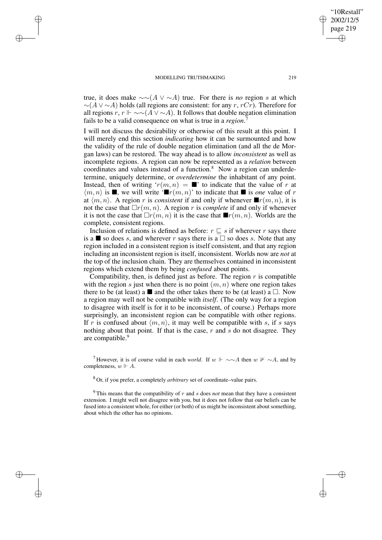✐

✐

✐

✐

true, it does make ∼∼(A ∨ ∼A) true. For there is *no* region s at which  $\sim(A \vee \sim A)$  holds (all regions are consistent: for any r, rCr). Therefore for all regions  $r, r \Vdash \sim \sim(A \vee \sim A)$ . It follows that double negation elimination fails to be a valid consequence on what is true in a *region*. 7

I will not discuss the desirability or otherwise of this result at this point. I will merely end this section *indicating* how it can be surmounted and how the validity of the rule of double negation elimination (and all the de Morgan laws) can be restored. The way ahead is to allow *inconsistent* as well as incomplete regions. A region can now be represented as a *relation* between coordinates and values instead of a function.<sup>8</sup> Now a region can underdetermine, uniquely determine, or *overdetermine* the inhabitant of any point. Instead, then of writing ' $r(m, n) = \blacksquare$ ' to indicate that the value of r at  $\langle m, n \rangle$  is  $\blacksquare$ , we will write ' $\blacksquare r(m, n)$ ' to indicate that  $\blacksquare$  is *one* value of r at  $\langle m, n \rangle$ . A region r is *consistent* if and only if whenever  $\blacksquare r(m, n)$ , it is not the case that  $\Box r(m, n)$ . A region r is *complete* if and only if whenever it is not the case that  $\Box r(m, n)$  it is the case that  $\blacksquare r(m, n)$ . Worlds are the complete, consistent regions.

Inclusion of relations is defined as before:  $r \sqsubseteq s$  if wherever r says there is a  $\blacksquare$  so does s, and wherever r says there is a  $\square$  so does s. Note that any region included in a consistent region is itself consistent, and that any region including an inconsistent region is itself, inconsistent. Worlds now are *not* at the top of the inclusion chain. They are themselves contained in inconsistent regions which extend them by being *confused* about points.

Compatibility, then, is defined just as before. The region  $r$  is compatible with the region s just when there is no point  $(m, n)$  where one region takes there to be (at least) a  $\blacksquare$  and the other takes there to be (at least) a  $\Box$ . Now a region may well not be compatible with *itself*. (The only way for a region to disagree with itself is for it to be inconsistent, of course.) Perhaps more surprisingly, an inconsistent region can be compatible with other regions. If r is confused about  $\langle m, n \rangle$ , it may well be compatible with s, if s says nothing about that point. If that is the case,  $r$  and  $s$  do not disagree. They are compatible.<sup>9</sup>

<sup>7</sup> However, it is of course valid in each *world*. If  $w \Vdash \sim \sim A$  then  $w \nvDash \sim A$ , and by completeness,  $w \Vdash A$ .

<sup>8</sup> Or, if you prefer, a completely *arbitrary* set of coordinate–value pairs.

 $9$  This means that the compatibility of  $r$  and  $s$  does *not* mean that they have a consistent extension. I might well not disagree with you, but it does not follow that our beliefs can be fused into a consistent whole, for either (or both) of us might be inconsistent about something, about which the other has no opinions.

"10Restall" 2002/12/5 page 219

✐

✐

✐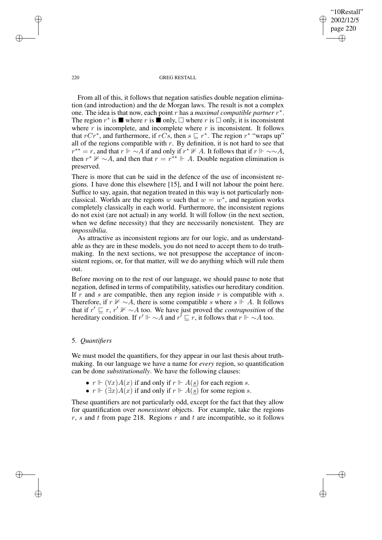✐

✐

### 220 GREG RESTALL

From all of this, it follows that negation satisfies double negation elimination (and introduction) and the de Morgan laws. The result is not a complex one. The idea is that now, each point r has a *maximal compatible partner* r ∗ . The region  $r^*$  is  $\blacksquare$  where r is  $\blacksquare$  only,  $\square$  where r is  $\square$  only, it is inconsistent where  $r$  is incomplete, and incomplete where  $r$  is inconsistent. It follows that  $rCr^*$ , and furthermore, if  $rCs$ , then  $s \sqsubseteq r^*$ . The region  $r^*$  "wraps up" all of the regions compatible with  $r$ . By definition, it is not hard to see that  $r^{**} = r$ , and that  $r \Vdash \sim A$  if and only if  $r^* \nvDash A$ . It follows that if  $r \Vdash \sim \sim A$ , then  $r^* \nvDash \sim A$ , and then that  $r = r^{**} \Vdash A$ . Double negation elimination is preserved.

There is more that can be said in the defence of the use of inconsistent regions. I have done this elsewhere [15], and I will not labour the point here. Suffice to say, again, that negation treated in this way is not particularly nonclassical. Worlds are the regions w such that  $w = w^*$ , and negation works completely classically in each world. Furthermore, the inconsistent regions do not exist (are not actual) in any world. It will follow (in the next section, when we define necessity) that they are necessarily nonexistent. They are *impossibilia*.

As attractive as inconsistent regions are for our logic, and as understandable as they are in these models, you do not need to accept them to do truthmaking. In the next sections, we not presuppose the acceptance of inconsistent regions, or, for that matter, will we do anything which will rule them out.

Before moving on to the rest of our language, we should pause to note that negation, defined in terms of compatibility, satisfies our hereditary condition. If r and s are compatible, then any region inside r is compatible with s. Therefore, if  $r \nvDash \neg A$ , there is some compatible s where s  $\Vdash A$ . It follows that if  $r' \sqsubseteq r$ ,  $r' \nvDash \sim A$  too. We have just proved the *contraposition* of the hereditary condition. If  $r' \Vdash \sim A$  and  $r' \sqsubseteq r$ , it follows that  $r \Vdash \sim A$  too.

# 5. *Quantifiers*

We must model the quantifiers, for they appear in our last thesis about truthmaking. In our language we have a name for *every* region, so quantification can be done *substitutionally*. We have the following clauses:

- $r \Vdash (\forall x)A(x)$  if and only if  $r \Vdash A(s)$  for each region s.
- $r \Vdash (\exists x) A(x)$  if and only if  $r \Vdash A(s)$  for some region s.

These quantifiers are not particularly odd, except for the fact that they allow for quantification over *nonexistent* objects. For example, take the regions  $r$ , s and t from page 218. Regions r and t are incompatible, so it follows

✐

✐

✐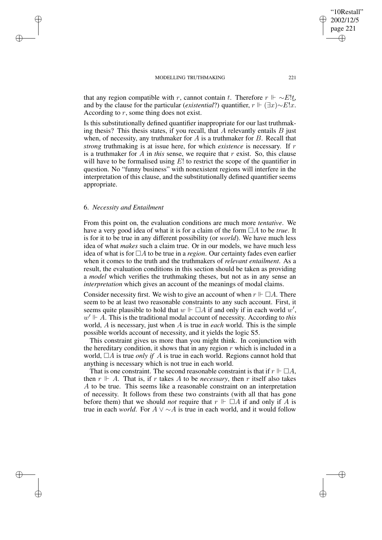that any region compatible with r, cannot contain t. Therefore  $r \Vdash \sim E!t$ , and by the clause for the particular (*existential*?) quantifier,  $r \Vdash (\exists x) \sim E!x$ . According to  $r$ , some thing does not exist.

Is this substitutionally defined quantifier inappropriate for our last truthmaking thesis? This thesis states, if you recall, that  $A$  relevantly entails  $B$  just when, of necessity, any truthmaker for  $A$  is a truthmaker for  $B$ . Recall that *strong* truthmaking is at issue here, for which *existence* is necessary. If r is a truthmaker for  $A$  in *this* sense, we require that  $r$  exist. So, this clause will have to be formalised using  $E!$  to restrict the scope of the quantifier in question. No "funny business" with nonexistent regions will interfere in the interpretation of this clause, and the substitutionally defined quantifier seems appropriate.

# 6. *Necessity and Entailment*

✐

✐

✐

✐

From this point on, the evaluation conditions are much more *tentative*. We have a very good idea of what it is for a claim of the form  $\Box A$  to be *true*. It is for it to be true in any different possibility (or *world*). We have much less idea of what *makes* such a claim true. Or in our models, we have much less idea of what is for  $\Box A$  to be true in a *region*. Our certainty fades even earlier when it comes to the truth and the truthmakers of *relevant entailment*. As a result, the evaluation conditions in this section should be taken as providing a *model* which verifies the truthmaking theses, but not as in any sense an *interpretation* which gives an account of the meanings of modal claims.

Consider necessity first. We wish to give an account of when  $r \Vdash \Box A$ . There seem to be at least two reasonable constraints to any such account. First, it seems quite plausible to hold that  $w \Vdash \Box A$  if and only if in each world w',  $w' \Vdash A$ . This is the traditional modal account of necessity. According to *this* world, A is necessary, just when A is true in *each* world. This is the simple possible worlds account of necessity, and it yields the logic S5.

This constraint gives us more than you might think. In conjunction with the hereditary condition, it shows that in any region  $r$  which is included in a world,  $\Box A$  is true *only if* A is true in each world. Regions cannot hold that anything is necessary which is not true in each world.

That is one constraint. The second reasonable constraint is that if  $r \Vdash \Box A$ , then  $r \Vdash A$ . That is, if r takes A to be *necessary*, then r itself also takes A to be true. This seems like a reasonable constraint on an interpretation of necessity. It follows from these two constraints (with all that has gone before them) that we should *not* require that  $r \Vdash \Box A$  if and only if A is true in each *world*. For A ∨ ∼A is true in each world, and it would follow

"10Restall" 2002/12/5 page 221

✐

✐

✐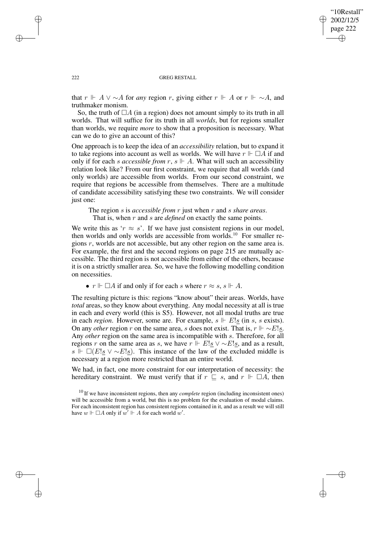✐

✐

### 222 GREG RESTALL

that  $r \Vdash A \vee \sim A$  for *any* region r, giving either  $r \Vdash A$  or  $r \Vdash \sim A$ , and truthmaker monism.

So, the truth of  $\Box A$  (in a region) does not amount simply to its truth in all worlds. That will suffice for its truth in all *worlds*, but for regions smaller than worlds, we require *more* to show that a proposition is necessary. What can we do to give an account of this?

One approach is to keep the idea of an *accessibility* relation, but to expand it to take regions into account as well as worlds. We will have  $r \Vdash \Box A$  if and only if for each *s* accessible from  $r$ ,  $s \Vdash A$ . What will such an accessibility relation look like? From our first constraint, we require that all worlds (and only worlds) are accessible from worlds. From our second constraint, we require that regions be accessible from themselves. There are a multitude of candidate accessibility satisfying these two constraints. We will consider just one:

The region s is *accessible from* r just when r and s *share areas*. That is, when r and s are *defined* on exactly the same points.

We write this as ' $r \approx s$ '. If we have just consistent regions in our model, then worlds and only worlds are accessible from worlds.<sup>10</sup> For smaller regions r, worlds are not accessible, but any other region on the same area is. For example, the first and the second regions on page 215 are mutually accessible. The third region is not accessible from either of the others, because it is on a strictly smaller area. So, we have the following modelling condition on necessities.

•  $r \Vdash \Box A$  if and only if for each s where  $r \approx s$ ,  $s \Vdash A$ .

The resulting picture is this: regions "know about" their areas. Worlds, have *total* areas, so they know about everything. Any modal necessity at all is true in each and every world (this is S5). However, not all modal truths are true in each *region*. However, some are. For example,  $s \Vdash E!s$  (in s, s exists). On any *other* region r on the same area, s does not exist. That is,  $r \Vdash \sim E!s$ . Any *other* region on the same area is incompatible with s. Therefore, for all regions r on the same area as s, we have  $r \Vdash E!_S \vee \sim E!_S$ , and as a result, s  $\Vdash \Box(E!_S \vee \sim E!_S)$ . This instance of the law of the excluded middle is necessary at a region more restricted than an entire world.

We had, in fact, one more constraint for our interpretation of necessity: the hereditary constraint. We must verify that if  $r \subseteq s$ , and  $r \Vdash \Box A$ , then

✐

✐

✐

<sup>10</sup> If we have inconsistent regions, then any *complete* region (including inconsistent ones) will be accessible from a world, but this is no problem for the evaluation of modal claims. For each inconsistent region has consistent regions contained in it, and as a result we will still have  $w \Vdash \Box A$  only if  $w' \Vdash A$  for each world  $w'$ .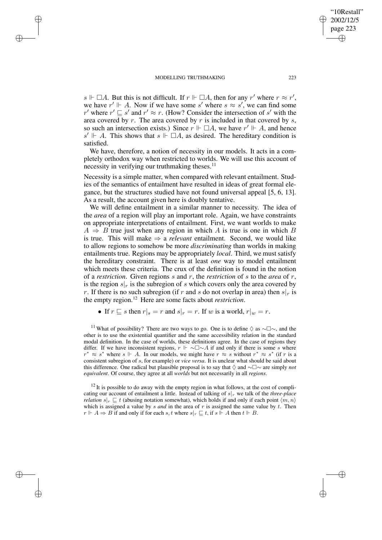✐

✐

✐

✐

s  $\Vdash \Box A$ . But this is not difficult. If  $r \Vdash \Box A$ , then for any r' where  $r \approx r'$ , we have  $r' \Vdash A$ . Now if we have some s' where  $s \approx s'$ , we can find some r' where  $r' \sqsubseteq s'$  and  $r' \approx r$ . (How? Consider the intersection of s' with the area covered by  $r$ . The area covered by  $r$  is included in that covered by  $s$ , so such an intersection exists.) Since  $r \Vdash \Box A$ , we have  $r' \Vdash A$ , and hence  $s' \Vdash A$ . This shows that  $s \Vdash \Box A$ , as desired. The hereditary condition is satisfied.

We have, therefore, a notion of necessity in our models. It acts in a completely orthodox way when restricted to worlds. We will use this account of necessity in verifying our truthmaking theses. $<sup>11</sup>$ </sup>

Necessity is a simple matter, when compared with relevant entailment. Studies of the semantics of entailment have resulted in ideas of great formal elegance, but the structures studied have not found universal appeal [5, 6, 13]. As a result, the account given here is doubly tentative.

We will define entailment in a similar manner to necessity. The idea of the *area* of a region will play an important role. Again, we have constraints on appropriate interpretations of entailment. First, we want worlds to make  $A \Rightarrow B$  true just when any region in which A is true is one in which B is true. This will make  $\Rightarrow$  a *relevant* entailment. Second, we would like to allow regions to somehow be more *discriminating* than worlds in making entailments true. Regions may be appropriately *local*. Third, we must satisfy the hereditary constraint. There is at least *one* way to model entailment which meets these criteria. The crux of the definition is found in the notion of a *restriction*. Given regions s and r, the *restriction* of s to the *area* of r, is the region  $s|r$  is the subregion of s which covers only the area covered by r. If there is no such subregion (if r and s do not overlap in area) then  $s|_r$  is the empty region.<sup>12</sup> Here are some facts about *restriction*.

• If  $r \sqsubseteq s$  then  $r|_s = r$  and  $s|_r = r$ . If w is a world,  $r|_w = r$ .

<sup>11</sup> What of possibility? There are two ways to go. One is to define  $\Diamond$  as  $\sim \Box \sim$ , and the other is to use the existential quantifier and the same accessibility relation in the standard modal definition. In the case of worlds, these definitions agree. In the case of regions they differ. If we have inconsistent regions,  $r \Vdash \sim \square \sim A$  if and only if there is some s where  $r^* \approx s^*$  where  $s \Vdash A$ . In our models, we might have  $r \approx s$  without  $r^* \approx s^*$  (if r is a consistent subregion of s, for example) or *vice versa*. It is unclear what should be said about this difference. One radical but plausible proposal is to say that  $\Diamond$  and ∼ $\Box \sim$  are simply *not equivalent*. Of course, they agree at all *worlds* but not necessarily in all *regions*.

 $12$  It is possible to do away with the empty region in what follows, at the cost of complicating our account of entailment a little. Instead of talking of  $s<sub>r</sub>$  we talk of the *three-place relation*  $s|_r \subseteq t$  (abusing notation somewhat), which holds if and only if each point  $\langle m, n \rangle$ which is assigned a value by  $s$  *and* in the area of  $r$  is assigned the same value by  $t$ . Then  $r \Vdash A \Rightarrow B$  if and only if for each s, t where  $s \Vdash_{r} \sqsubset t$ , if  $s \Vdash A$  then  $t \Vdash B$ .

"10Restall" 2002/12/5 page 223

✐

✐

✐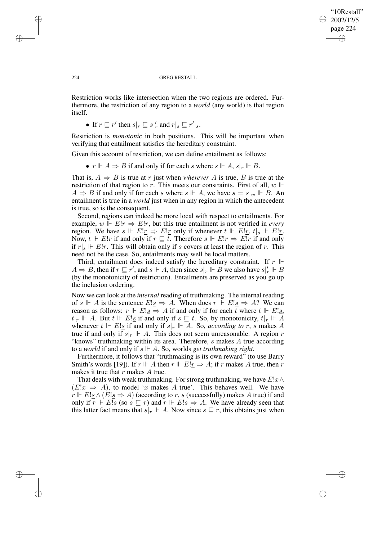"10Restall" 2002/12/5 page 224 ✐ ✐

✐

✐

### 224 GREG RESTALL

Restriction works like intersection when the two regions are ordered. Furthermore, the restriction of any region to a *world* (any world) is that region itself.

• If  $r \sqsubseteq r'$  then  $s|_r \sqsubseteq s|_r'$  and  $r|_s \sqsubseteq r'|_s$ .

Restriction is *monotonic* in both positions. This will be important when verifying that entailment satisfies the hereditary constraint.

Given this account of restriction, we can define entailment as follows:

•  $r \Vdash A \Rightarrow B$  if and only if for each s where  $s \Vdash A$ ,  $s|_r \Vdash B$ .

That is,  $A \Rightarrow B$  is true at r just when *wherever* A is true, B is true at the restriction of that region to r. This meets our constraints. First of all,  $w \Vdash$  $A \Rightarrow B$  if and only if for each s where  $s \Vdash A$ , we have  $s = s|_w \Vdash B$ . An entailment is true in a *world* just when in any region in which the antecedent is true, so is the consequent.

Second, regions can indeed be more local with respect to entailments. For example,  $w \Vdash E!_{\underline{r}} \Rightarrow E!_{\underline{r}}$ , but this true entailment is not verified in *every* region. We have  $s \Vdash E!_{\underline{r}} \Rightarrow E!_{\underline{r}}$  only if whenever  $t \Vdash E!_{\underline{r}}$ ,  $t|_s \Vdash E!_{\underline{r}}$ . Now,  $t \Vdash E!$  if and only if  $r \sqsubseteq t$ . Therefore  $s \Vdash E!$   $\geq E!$  if and only if  $r|_s \Vdash E!_r$ . This will obtain only if s covers at least the region of r. This need not be the case. So, entailments may well be local matters.

Third, entailment does indeed satisfy the hereditary constraint. If  $r \Vdash$  $A \Rightarrow B$ , then if  $r \sqsubseteq r'$ , and  $s \Vdash A$ , then since  $s|_r \Vdash B$  we also have  $s|_r' \Vdash B$ (by the monotonicity of restriction). Entailments are preserved as you go up the inclusion ordering.

Now we can look at the *internal* reading of truthmaking. The internal reading of  $s \Vdash A$  is the sentence  $E^{\prime} \to A$ . When does  $r \Vdash E^{\prime} \to A$ ? We can reason as follows:  $r \Vdash E!_S \Rightarrow A$  if and only if for each t where  $t \Vdash E!_S$ ,  $t|_r \Vdash A$ . But  $t \Vdash E!_s$  if and only if  $s \sqsubseteq t$ . So, by monotonicity,  $t|_r \Vdash A$ whenever  $t \Vdash E!_s$  if and only if  $s|_r \Vdash A$ . So, *according to* r, *s* makes A true if and only if  $s|_r \Vdash A$ . This does not seem unreasonable. A region r "knows" truthmaking within its area. Therefore, s makes A true according to a *world* if and only if  $s \Vdash A$ . So, worlds *get truthmaking right*.

Furthermore, it follows that "truthmaking is its own reward" (to use Barry Smith's words [19]). If  $r \Vdash A$  then  $r \Vdash E!r \Rightarrow A$ ; if r makes A true, then r makes it true that  $r$  makes  $\ddot{A}$  true.

That deals with weak truthmaking. For strong truthmaking, we have  $E!x \wedge y$  $(E!x \Rightarrow A)$ , to model 'x makes A true'. This behaves well. We have  $r \Vdash E!_s \wedge (E!_s \Rightarrow A)$  (according to r, s (successfully) makes A true) if and only if  $r \Vdash E!_S$  (so  $s \sqsubseteq r$ ) and  $r \Vdash E!_S \Rightarrow A$ . We have already seen that this latter fact means that  $s|_r \Vdash A$ . Now since  $s \sqsubseteq r$ , this obtains just when

✐

✐

✐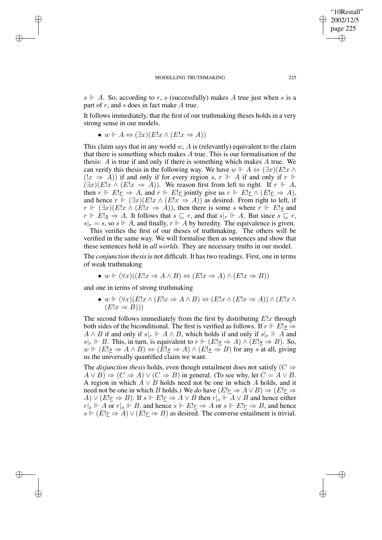$s \Vdash A$ . So, according to r, s (successfully) makes A true just when s is a part of  $r$ , and  $s$  does in fact make  $A$  true.

It follows immediately, that the first of our truthmaking theses holds in a very strong sense in our models.

• 
$$
w \Vdash A \Leftrightarrow (\exists x)(E!x \land (E!x \Rightarrow A))
$$

✐

✐

✐

✐

This claim says that in any world  $w$ ,  $\tilde{A}$  is (relevantly) equivalent to the claim that there is something which makes A true. This is our formalisation of the thesis: A is true if and only if there is something which makes A true. We can verify this thesis in the following way. We have  $w \Vdash A \Leftrightarrow (\exists x)(E!x \land \exists y)$  $(!x \Rightarrow A))$  if and only if for every region s,  $r \Vdash A$  if and only if  $r \Vdash A$  $(\exists x)(E!x \land (E!x \Rightarrow A))$ . We reason first from left to right. If  $r \Vdash A$ , then  $r \Vdash E!r \Rightarrow A$ , and  $r \Vdash E!r$  jointly give us  $r \Vdash E!r \wedge (E!r \Rightarrow A)$ , and hence  $r \Vdash (\exists x)(E!x \land (E!x \Rightarrow A))$  as desired. From right to left, if  $r \Vdash (\exists x)(E!x \land (E!x \Rightarrow A))$ , then there is some s where  $r \Vdash E!s$  and  $r \Vdash E!_s \Rightarrow A$ . It follows that  $s \sqsubseteq r$ , and that  $s|_r \Vdash A$ . But since  $s \sqsubseteq r$ ,  $s|_r = s$ , so  $s \Vdash A$ , and finally,  $r \Vdash A$  by heredity. The equivalence is given.

This verifies the first of our theses of truthmaking. The others will be verified in the same way. We will formalise then as sentences and show that these sentences hold in *all worlds*. They are necessary truths in our model.

The *conjunction thesis* is not difficult. It has two readings. First, one in terms of weak truthmaking

•  $w \Vdash (\forall x)((E!x \Rightarrow A \wedge B) \Leftrightarrow (E!x \Rightarrow A) \wedge (E!x \Rightarrow B))$ 

and one in terms of strong truthmaking

• w  $\vdash (\forall x)(E!x \land (E!x \Rightarrow A \land B) \Leftrightarrow (E!x \land (E!x \Rightarrow A)) \land (E!x \land$  $(E!x \Rightarrow B))$ 

The second follows immediately from the first by distributing  $E!x$  through both sides of the biconditional. The first is verified as follows. If  $r \Vdash E!s \Rightarrow$  $A \wedge B$  if and only if  $s|_r \Vdash A \wedge B$ , which holds if and only if  $s|_r \Vdash A$  and  $s|_r$  ⊩ B. This, in turn, is equivalent to  $r$  ⊩  $(E!_s \Rightarrow A) \wedge (E!_s \Rightarrow B)$ . So,  $w \Vdash (E!_S \Rightarrow A \wedge B) \Leftrightarrow (E!_S \Rightarrow A) \wedge (E!_S \Rightarrow B)$  for any s at all, giving us the universally quantified claim we want.

The *disjunction thesis* holds, even though entailment does not satisfy  $(C \Rightarrow$  $A \vee B$   $\Rightarrow$   $(C \Rightarrow A) \vee (C \Rightarrow B)$  in general. (To see why, let  $C = A \vee B$ . A region in which  $A \vee B$  holds need not be one in which A holds, and it need not be one in which B holds.) We *do* have  $(E!r \Rightarrow A \vee B) \Rightarrow (E!r \Rightarrow$ A)  $\vee$  ( $E!_T \Rightarrow B$ ). If  $s \Vdash E!_T \Rightarrow A \vee B$  then  $r|_s \Vdash A \vee B$  and hence either  $r|s \Vdash A$  or  $r|s \Vdash B$ , and hence  $s \Vdash E!r \Rightarrow A$  or  $s \Vdash E!r \Rightarrow B$ , and hence  $s \Vdash (E!r \Rightarrow A) \vee (E!r \Rightarrow B)$  as desired. The converse entailment is trivial.

"10Restall" 2002/12/5 page 225

✐

✐

✐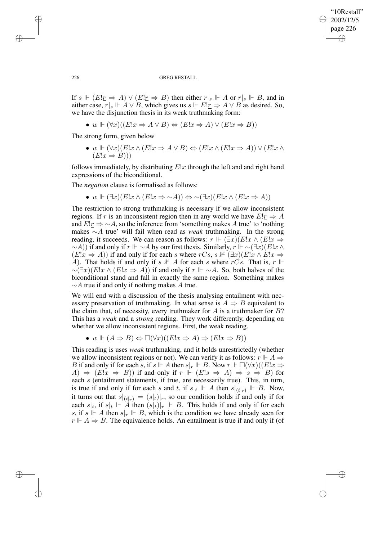"10Restall" 2002/12/5 page 226 ✐ ✐

✐

✐

226 GREG RESTALL

If  $s \Vdash (E!_{\underline{r}} \Rightarrow A) \vee (E!_{\underline{r}} \Rightarrow B)$  then either  $r|_s \Vdash A$  or  $r|_s \Vdash B$ , and in either case,  $r|_s \Vdash A \lor B$ , which gives us  $s \Vdash E!_r \Rightarrow A \lor B$  as desired. So, we have the disjunction thesis in its weak truthmaking form:

•  $w \Vdash (\forall x)((E!x \Rightarrow A \vee B) \Leftrightarrow (E!x \Rightarrow A) \vee (E!x \Rightarrow B))$ 

The strong form, given below

 $\bullet \ w \Vdash (\forall x)(E!x \wedge (E!x \Rightarrow A \vee B) \Leftrightarrow (E!x \wedge (E!x \Rightarrow A)) \vee (E!x \wedge$  $(E!x \Rightarrow B))$ 

follows immediately, by distributing  $E!x$  through the left and and right hand expressions of the biconditional.

The *negation* clause is formalised as follows:

• w  $\vdash (\exists x)(E!x \land (E!x \Rightarrow \sim A)) \Leftrightarrow \sim (\exists x)(E!x \land (E!x \Rightarrow A))$ 

The restriction to strong truthmaking is necessary if we allow inconsistent regions. If r is an inconsistent region then in any world we have  $E!_T \Rightarrow A$ and  $E!_T \Rightarrow \sim A$ , so the inference from 'something makes A true' to 'nothing makes ∼A true' will fail when read as *weak* truthmaking. In the strong reading, it succeeds. We can reason as follows:  $r \Vdash (\exists x)(E!x \land (E!x \Rightarrow$  $\sim(A)$ ) if and only if  $r \Vdash \sim A$  by our first thesis. Similarly,  $r \Vdash \sim (\exists x)(E!x \wedge$  $(E!x \Rightarrow A)$ ) if and only if for each s where  $rCs$ , s  $\nvdash (\exists x)(E!x \land E!x \Rightarrow$ A). That holds if and only if  $s \not\perp A$  for each s where  $rCs$ . That is,  $r \Vdash$  $\sim (\exists x)(E!x \wedge (E!x \Rightarrow A))$  if and only if  $r \Vdash \sim A$ . So, both halves of the biconditional stand and fall in exactly the same region. Something makes  $∼A$  true if and only if nothing makes A true.

We will end with a discussion of the thesis analysing entailment with necessary preservation of truthmaking. In what sense is  $A \Rightarrow B$  equivalent to the claim that, of necessity, every truthmaker for  $A$  is a truthmaker for  $B$ ? This has a *weak* and a *strong* reading. They work differently, depending on whether we allow inconsistent regions. First, the weak reading.

•  $w \Vdash (A \Rightarrow B) \Leftrightarrow \Box(\forall x)((E!x \Rightarrow A) \Rightarrow (E!x \Rightarrow B))$ 

This reading is uses *weak* truthmaking, and it holds unrestrictedly (whether we allow inconsistent regions or not). We can verify it as follows:  $r \Vdash A \Rightarrow$ B if and only if for each s, if  $s \Vdash A$  then  $s|_r \Vdash B$ . Now  $r \Vdash \Box(\forall x)((E!x \Rightarrow$  $(A) \Rightarrow (E!x \Rightarrow B)$  if and only if  $r \Vdash (E!s \Rightarrow A) \Rightarrow s \Rightarrow B$  for each s (entailment statements, if true, are necessarily true). This, in turn, is true if and only if for each s and t, if  $s|_t \Vdash A$  then  $s|_{(t|x)} \Vdash B$ . Now, it turns out that  $s|_{(t|r)} = (s|_t)|_r$ , so our condition holds if and only if for each  $s|_t$ , if  $s|_t \Vdash A$  then  $(s|_t)|_r \Vdash B$ . This holds if and only if for each s, if  $s \Vdash A$  then  $s|_r \Vdash B$ , which is the condition we have already seen for  $r \Vdash A \Rightarrow B$ . The equivalence holds. An entailment is true if and only if (of

✐

✐

✐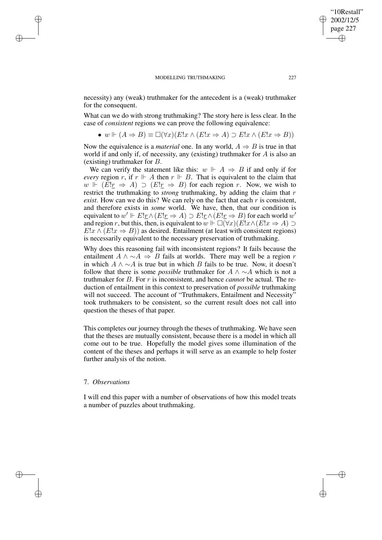necessity) any (weak) truthmaker for the antecedent is a (weak) truthmaker for the consequent.

What can we do with strong truthmaking? The story here is less clear. In the case of *consistent* regions we can prove the following equivalence:

• 
$$
w \Vdash (A \Rightarrow B) \equiv \Box(\forall x)(E!x \land (E!x \Rightarrow A) \supset E!x \land (E!x \Rightarrow B))
$$

Now the equivalence is a *material* one. In any world,  $A \Rightarrow B$  is true in that world if and only if, of necessity, any (existing) truthmaker for A is also an (existing) truthmaker for B.

We can verify the statement like this:  $w \Vdash A \Rightarrow B$  if and only if for *every* region r, if  $r \Vdash A$  then  $r \Vdash B$ . That is equivalent to the claim that  $w \Vdash (E!r \Rightarrow A) \supset (E!r \Rightarrow B)$  for each region r. Now, we wish to restrict the truthmaking to *strong* truthmaking, by adding the claim that r *exist*. How can we do this? We can rely on the fact that each r is consistent, and therefore exists in *some* world. We have, then, that our condition is equivalent to  $w' \Vdash E!_{\underline{r}} \wedge (E!_{\underline{r}} \Rightarrow A) \supset E!_{\underline{r}} \wedge (E!_{\underline{r}} \Rightarrow B)$  for each world  $w'$ and region r, but this, then, is equivalent to  $w \Vdash \Box(\forall x)(E!x \land (E!x \Rightarrow A) \supset$  $E!x \wedge (E!x \Rightarrow B)$  as desired. Entailment (at least with consistent regions) is necessarily equivalent to the necessary preservation of truthmaking.

Why does this reasoning fail with inconsistent regions? It fails because the entailment  $A \wedge \neg A \Rightarrow B$  fails at worlds. There may well be a region r in which  $A \wedge \neg A$  is true but in which B fails to be true. Now, it doesn't follow that there is some *possible* truthmaker for A ∧ ∼A which is not a truthmaker for B. For r is inconsistent, and hence *cannot* be actual. The reduction of entailment in this context to preservation of *possible* truthmaking will not succeed. The account of "Truthmakers, Entailment and Necessity" took truthmakers to be consistent, so the current result does not call into question the theses of that paper.

This completes our journey through the theses of truthmaking. We have seen that the theses are mutually consistent, because there is a model in which all come out to be true. Hopefully the model gives some illumination of the content of the theses and perhaps it will serve as an example to help foster further analysis of the notion.

# 7. *Observations*

✐

✐

✐

✐

I will end this paper with a number of observations of how this model treats a number of puzzles about truthmaking.

"10Restall" 2002/12/5 page 227

✐

✐

✐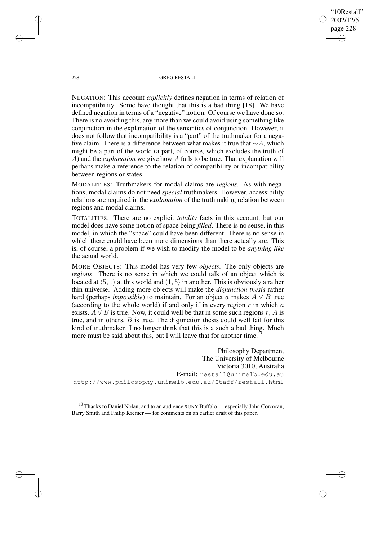"10Restall" 2002/12/5 page 228 ✐ ✐

✐

✐

228 GREG RESTALL

NEGATION: This account *explicitly* defines negation in terms of relation of incompatibility. Some have thought that this is a bad thing [18]. We have defined negation in terms of a "negative" notion. Of course we have done so. There is no avoiding this, any more than we could avoid using something like conjunction in the explanation of the semantics of conjunction. However, it does not follow that incompatibility is a "part" of the truthmaker for a negative claim. There is a difference between what makes it true that ∼A, which might be a part of the world (a part, of course, which excludes the truth of A) and the *explanation* we give how A fails to be true. That explanation will perhaps make a reference to the relation of compatibility or incompatibility between regions or states.

MODALITIES: Truthmakers for modal claims are *regions*. As with negations, modal claims do not need *special* truthmakers. However, accessibility relations are required in the *explanation* of the truthmaking relation between regions and modal claims.

TOTALITIES: There are no explicit *totality* facts in this account, but our model does have some notion of space being *filled*. There is no sense, in this model, in which the "space" could have been different. There is no sense in which there could have been more dimensions than there actually are. This is, of course, a problem if we wish to modify the model to be *anything like* the actual world.

MORE OBJECTS: This model has very few *objects*. The only objects are *regions*. There is no sense in which we could talk of an object which is located at  $\langle 5, 1 \rangle$  at this world and  $\langle 1, 5 \rangle$  in another. This is obviously a rather thin universe. Adding more objects will make the *disjunction thesis* rather hard (perhaps *impossible*) to maintain. For an object a makes  $A \vee B$  true (according to the whole world) if and only if in every region  $r$  in which  $a$ exists,  $A \vee B$  is true. Now, it could well be that in some such regions r, A is true, and in others,  $B$  is true. The disjunction thesis could well fail for this kind of truthmaker. I no longer think that this is a such a bad thing. Much more must be said about this, but I will leave that for another time.<sup>1</sup>

Philosophy Department The University of Melbourne Victoria 3010, Australia E-mail: restall@unimelb.edu.au http://www.philosophy.unimelb.edu.au/Staff/restall.html

<sup>13</sup> Thanks to Daniel Nolan, and to an audience SUNY Buffalo — especially John Corcoran, Barry Smith and Philip Kremer — for comments on an earlier draft of this paper.

✐

✐

✐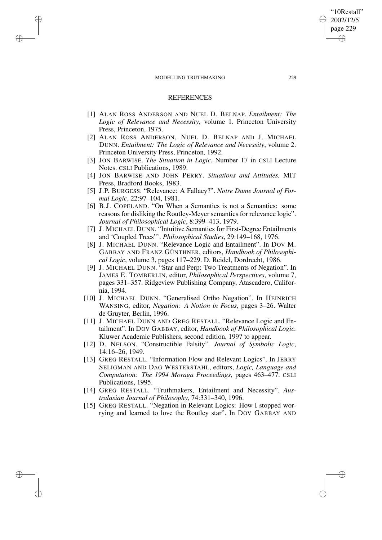✐

✐

✐

✐

## **REFERENCES**

- [1] ALAN ROSS ANDERSON AND NUEL D. BELNAP. *Entailment: The Logic of Relevance and Necessity*, volume 1. Princeton University Press, Princeton, 1975.
- [2] ALAN ROSS ANDERSON, NUEL D. BELNAP AND J. MICHAEL DUNN. *Entailment: The Logic of Relevance and Necessity*, volume 2. Princeton University Press, Princeton, 1992.
- [3] JON BARWISE. *The Situation in Logic.* Number 17 in CSLI Lecture Notes. CSLI Publications, 1989.
- [4] JON BARWISE AND JOHN PERRY. *Situations and Attitudes.* MIT Press, Bradford Books, 1983.
- [5] J.P. BURGESS. "Relevance: A Fallacy?". *Notre Dame Journal of Formal Logic*, 22:97–104, 1981.
- [6] B.J. COPELAND. "On When a Semantics is not a Semantics: some reasons for disliking the Routley-Meyer semantics for relevance logic". *Journal of Philosophical Logic*, 8:399–413, 1979.
- [7] J. MICHAEL DUNN. "Intuitive Semantics for First-Degree Entailments and 'Coupled Trees"'. *Philosophical Studies*, 29:149–168, 1976.
- [8] J. MICHAEL DUNN. "Relevance Logic and Entailment". In DOV M. GABBAY AND FRANZ GÜNTHNER, editors, *Handbook of Philosophical Logic*, volume 3, pages 117–229. D. Reidel, Dordrecht, 1986.
- [9] J. MICHAEL DUNN. "Star and Perp: Two Treatments of Negation". In JAMES E. TOMBERLIN, editor, *Philosophical Perspectives*, volume 7, pages 331–357. Ridgeview Publishing Company, Atascadero, California, 1994.
- [10] J. MICHAEL DUNN. "Generalised Ortho Negation". In HEINRICH WANSING, editor, *Negation: A Notion in Focus*, pages 3–26. Walter de Gruyter, Berlin, 1996.
- [11] J. MICHAEL DUNN AND GREG RESTALL. "Relevance Logic and Entailment". In DOV GABBAY, editor, *Handbook of Philosophical Logic.* Kluwer Academic Publishers, second edition, 199? to appear.
- [12] D. NELSON. "Constructible Falsity". *Journal of Symbolic Logic*, 14:16–26, 1949.
- [13] GREG RESTALL. "Information Flow and Relevant Logics". In JERRY SELIGMAN AND DAG WESTERSTAHL, editors, *Logic, Language and Computation: The 1994 Moraga Proceedings*, pages 463–477. CSLI Publications, 1995.
- [14] GREG RESTALL. "Truthmakers, Entailment and Necessity". Aus*tralasian Journal of Philosophy*, 74:331–340, 1996.
- [15] GREG RESTALL. "Negation in Relevant Logics: How I stopped worrying and learned to love the Routley star". In DOV GABBAY AND

"10Restall" 2002/12/5 page 229

✐

✐

✐